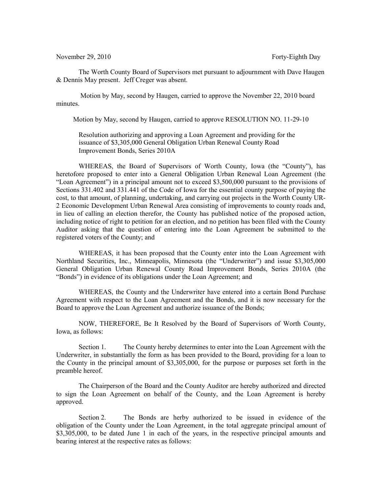November 29, 2010 **Forty-Eighth Day** 

The Worth County Board of Supervisors met pursuant to adjournment with Dave Haugen & Dennis May present. Jeff Creger was absent.

 Motion by May, second by Haugen, carried to approve the November 22, 2010 board minutes.

Motion by May, second by Haugen, carried to approve RESOLUTION NO. 11-29-10

Resolution authorizing and approving a Loan Agreement and providing for the issuance of \$3,305,000 General Obligation Urban Renewal County Road Improvement Bonds, Series 2010A

WHEREAS, the Board of Supervisors of Worth County, Iowa (the "County"), has heretofore proposed to enter into a General Obligation Urban Renewal Loan Agreement (the "Loan Agreement") in a principal amount not to exceed \$3,500,000 pursuant to the provisions of Sections 331.402 and 331.441 of the Code of Iowa for the essential county purpose of paying the cost, to that amount, of planning, undertaking, and carrying out projects in the Worth County UR-2 Economic Development Urban Renewal Area consisting of improvements to county roads and, in lieu of calling an election therefor, the County has published notice of the proposed action, including notice of right to petition for an election, and no petition has been filed with the County Auditor asking that the question of entering into the Loan Agreement be submitted to the registered voters of the County; and

WHEREAS, it has been proposed that the County enter into the Loan Agreement with Northland Securities, Inc., Minneapolis, Minnesota (the "Underwriter") and issue \$3,305,000 General Obligation Urban Renewal County Road Improvement Bonds, Series 2010A (the "Bonds") in evidence of its obligations under the Loan Agreement; and

WHEREAS, the County and the Underwriter have entered into a certain Bond Purchase Agreement with respect to the Loan Agreement and the Bonds, and it is now necessary for the Board to approve the Loan Agreement and authorize issuance of the Bonds;

NOW, THEREFORE, Be It Resolved by the Board of Supervisors of Worth County, Iowa, as follows:

Section 1. The County hereby determines to enter into the Loan Agreement with the Underwriter, in substantially the form as has been provided to the Board, providing for a loan to the County in the principal amount of \$3,305,000, for the purpose or purposes set forth in the preamble hereof.

The Chairperson of the Board and the County Auditor are hereby authorized and directed to sign the Loan Agreement on behalf of the County, and the Loan Agreement is hereby approved.

Section 2. The Bonds are herby authorized to be issued in evidence of the obligation of the County under the Loan Agreement, in the total aggregate principal amount of \$3,305,000, to be dated June 1 in each of the years, in the respective principal amounts and bearing interest at the respective rates as follows: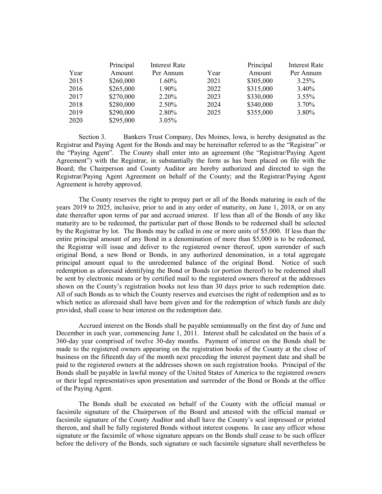|      | Principal | <b>Interest Rate</b> |      | Principal | <b>Interest Rate</b> |
|------|-----------|----------------------|------|-----------|----------------------|
| Year | Amount    | Per Annum            | Year | Amount    | Per Annum            |
| 2015 | \$260,000 | $1.60\%$             | 2021 | \$305,000 | $3.25\%$             |
| 2016 | \$265,000 | 1.90%                | 2022 | \$315,000 | $3.40\%$             |
| 2017 | \$270,000 | $2.20\%$             | 2023 | \$330,000 | $3.55\%$             |
| 2018 | \$280,000 | $2.50\%$             | 2024 | \$340,000 | 3.70%                |
| 2019 | \$290,000 | 2.80%                | 2025 | \$355,000 | 3.80%                |
| 2020 | \$295,000 | $3.05\%$             |      |           |                      |

Section 3. Bankers Trust Company, Des Moines, Iowa, is hereby designated as the Registrar and Paying Agent for the Bonds and may be hereinafter referred to as the "Registrar" or the "Paying Agent". The County shall enter into an agreement (the "Registrar/Paying Agent Agreement") with the Registrar, in substantially the form as has been placed on file with the Board; the Chairperson and County Auditor are hereby authorized and directed to sign the Registrar/Paying Agent Agreement on behalf of the County; and the Registrar/Paying Agent Agreement is hereby approved.

The County reserves the right to prepay part or all of the Bonds maturing in each of the years 2019 to 2025, inclusive, prior to and in any order of maturity, on June 1, 2018, or on any date thereafter upon terms of par and accrued interest. If less than all of the Bonds of any like maturity are to be redeemed, the particular part of those Bonds to be redeemed shall be selected by the Registrar by lot. The Bonds may be called in one or more units of \$5,000. If less than the entire principal amount of any Bond in a denomination of more than \$5,000 is to be redeemed, the Registrar will issue and deliver to the registered owner thereof, upon surrender of such original Bond, a new Bond or Bonds, in any authorized denomination, in a total aggregate principal amount equal to the unredeemed balance of the original Bond. Notice of such redemption as aforesaid identifying the Bond or Bonds (or portion thereof) to be redeemed shall be sent by electronic means or by certified mail to the registered owners thereof at the addresses shown on the County's registration books not less than 30 days prior to such redemption date. All of such Bonds as to which the County reserves and exercises the right of redemption and as to which notice as aforesaid shall have been given and for the redemption of which funds are duly provided, shall cease to bear interest on the redemption date.

Accrued interest on the Bonds shall be payable semiannually on the first day of June and December in each year, commencing June 1, 2011. Interest shall be calculated on the basis of a 360-day year comprised of twelve 30-day months. Payment of interest on the Bonds shall be made to the registered owners appearing on the registration books of the County at the close of business on the fifteenth day of the month next preceding the interest payment date and shall be paid to the registered owners at the addresses shown on such registration books. Principal of the Bonds shall be payable in lawful money of the United States of America to the registered owners or their legal representatives upon presentation and surrender of the Bond or Bonds at the office of the Paying Agent.

The Bonds shall be executed on behalf of the County with the official manual or facsimile signature of the Chairperson of the Board and attested with the official manual or facsimile signature of the County Auditor and shall have the County's seal impressed or printed thereon, and shall be fully registered Bonds without interest coupons. In case any officer whose signature or the facsimile of whose signature appears on the Bonds shall cease to be such officer before the delivery of the Bonds, such signature or such facsimile signature shall nevertheless be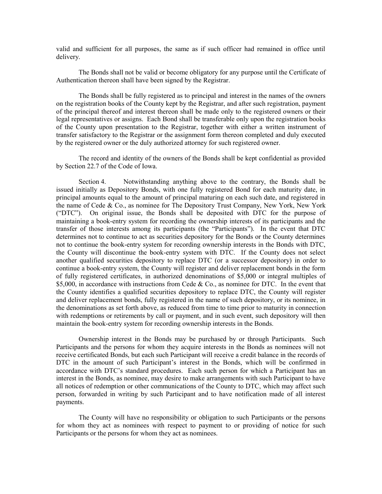valid and sufficient for all purposes, the same as if such officer had remained in office until delivery.

The Bonds shall not be valid or become obligatory for any purpose until the Certificate of Authentication thereon shall have been signed by the Registrar.

The Bonds shall be fully registered as to principal and interest in the names of the owners on the registration books of the County kept by the Registrar, and after such registration, payment of the principal thereof and interest thereon shall be made only to the registered owners or their legal representatives or assigns. Each Bond shall be transferable only upon the registration books of the County upon presentation to the Registrar, together with either a written instrument of transfer satisfactory to the Registrar or the assignment form thereon completed and duly executed by the registered owner or the duly authorized attorney for such registered owner.

The record and identity of the owners of the Bonds shall be kept confidential as provided by Section 22.7 of the Code of Iowa.

Section 4. Notwithstanding anything above to the contrary, the Bonds shall be issued initially as Depository Bonds, with one fully registered Bond for each maturity date, in principal amounts equal to the amount of principal maturing on each such date, and registered in the name of Cede & Co., as nominee for The Depository Trust Company, New York, New York ("DTC"). On original issue, the Bonds shall be deposited with DTC for the purpose of maintaining a book-entry system for recording the ownership interests of its participants and the transfer of those interests among its participants (the "Participants"). In the event that DTC determines not to continue to act as securities depository for the Bonds or the County determines not to continue the book-entry system for recording ownership interests in the Bonds with DTC, the County will discontinue the book-entry system with DTC. If the County does not select another qualified securities depository to replace DTC (or a successor depository) in order to continue a book-entry system, the County will register and deliver replacement bonds in the form of fully registered certificates, in authorized denominations of \$5,000 or integral multiples of \$5,000, in accordance with instructions from Cede & Co., as nominee for DTC. In the event that the County identifies a qualified securities depository to replace DTC, the County will register and deliver replacement bonds, fully registered in the name of such depository, or its nominee, in the denominations as set forth above, as reduced from time to time prior to maturity in connection with redemptions or retirements by call or payment, and in such event, such depository will then maintain the book-entry system for recording ownership interests in the Bonds.

Ownership interest in the Bonds may be purchased by or through Participants. Such Participants and the persons for whom they acquire interests in the Bonds as nominees will not receive certificated Bonds, but each such Participant will receive a credit balance in the records of DTC in the amount of such Participant's interest in the Bonds, which will be confirmed in accordance with DTC's standard procedures. Each such person for which a Participant has an interest in the Bonds, as nominee, may desire to make arrangements with such Participant to have all notices of redemption or other communications of the County to DTC, which may affect such person, forwarded in writing by such Participant and to have notification made of all interest payments.

The County will have no responsibility or obligation to such Participants or the persons for whom they act as nominees with respect to payment to or providing of notice for such Participants or the persons for whom they act as nominees.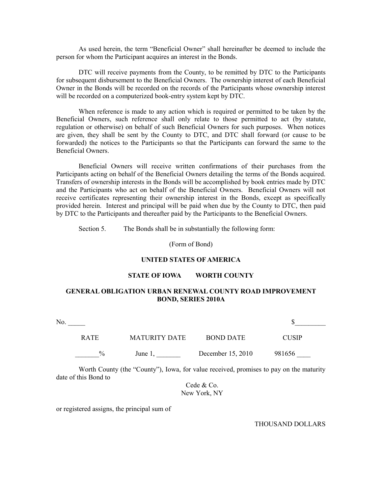As used herein, the term "Beneficial Owner" shall hereinafter be deemed to include the person for whom the Participant acquires an interest in the Bonds.

DTC will receive payments from the County, to be remitted by DTC to the Participants for subsequent disbursement to the Beneficial Owners. The ownership interest of each Beneficial Owner in the Bonds will be recorded on the records of the Participants whose ownership interest will be recorded on a computerized book-entry system kept by DTC.

When reference is made to any action which is required or permitted to be taken by the Beneficial Owners, such reference shall only relate to those permitted to act (by statute, regulation or otherwise) on behalf of such Beneficial Owners for such purposes. When notices are given, they shall be sent by the County to DTC, and DTC shall forward (or cause to be forwarded) the notices to the Participants so that the Participants can forward the same to the Beneficial Owners.

Beneficial Owners will receive written confirmations of their purchases from the Participants acting on behalf of the Beneficial Owners detailing the terms of the Bonds acquired. Transfers of ownership interests in the Bonds will be accomplished by book entries made by DTC and the Participants who act on behalf of the Beneficial Owners. Beneficial Owners will not receive certificates representing their ownership interest in the Bonds, except as specifically provided herein. Interest and principal will be paid when due by the County to DTC, then paid by DTC to the Participants and thereafter paid by the Participants to the Beneficial Owners.

Section 5. The Bonds shall be in substantially the following form:

(Form of Bond)

#### **UNITED STATES OF AMERICA**

### **STATE OF IOWA WORTH COUNTY**

## **GENERAL OBLIGATION URBAN RENEWAL COUNTY ROAD IMPROVEMENT BOND, SERIES 2010A**

No.  $\qquad \qquad$ RATE MATURITY DATE BOND DATE CUSIP  $\frac{9}{6}$  June 1, December 15, 2010 981656

Worth County (the "County"), Iowa, for value received, promises to pay on the maturity date of this Bond to

> Cede & Co. New York, NY

or registered assigns, the principal sum of

THOUSAND DOLLARS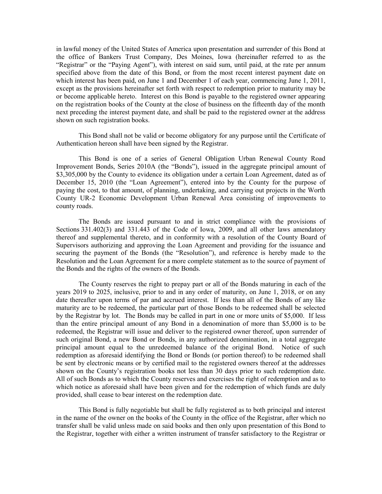in lawful money of the United States of America upon presentation and surrender of this Bond at the office of Bankers Trust Company, Des Moines, Iowa (hereinafter referred to as the "Registrar" or the "Paying Agent"), with interest on said sum, until paid, at the rate per annum specified above from the date of this Bond, or from the most recent interest payment date on which interest has been paid, on June 1 and December 1 of each year, commencing June 1, 2011, except as the provisions hereinafter set forth with respect to redemption prior to maturity may be or become applicable hereto. Interest on this Bond is payable to the registered owner appearing on the registration books of the County at the close of business on the fifteenth day of the month next preceding the interest payment date, and shall be paid to the registered owner at the address shown on such registration books.

This Bond shall not be valid or become obligatory for any purpose until the Certificate of Authentication hereon shall have been signed by the Registrar.

This Bond is one of a series of General Obligation Urban Renewal County Road Improvement Bonds, Series 2010A (the "Bonds"), issued in the aggregate principal amount of \$3,305,000 by the County to evidence its obligation under a certain Loan Agreement, dated as of December 15, 2010 (the "Loan Agreement"), entered into by the County for the purpose of paying the cost, to that amount, of planning, undertaking, and carrying out projects in the Worth County UR-2 Economic Development Urban Renewal Area consisting of improvements to county roads.

The Bonds are issued pursuant to and in strict compliance with the provisions of Sections 331.402(3) and 331.443 of the Code of Iowa, 2009, and all other laws amendatory thereof and supplemental thereto, and in conformity with a resolution of the County Board of Supervisors authorizing and approving the Loan Agreement and providing for the issuance and securing the payment of the Bonds (the "Resolution"), and reference is hereby made to the Resolution and the Loan Agreement for a more complete statement as to the source of payment of the Bonds and the rights of the owners of the Bonds.

The County reserves the right to prepay part or all of the Bonds maturing in each of the years 2019 to 2025, inclusive, prior to and in any order of maturity, on June 1, 2018, or on any date thereafter upon terms of par and accrued interest. If less than all of the Bonds of any like maturity are to be redeemed, the particular part of those Bonds to be redeemed shall be selected by the Registrar by lot. The Bonds may be called in part in one or more units of \$5,000. If less than the entire principal amount of any Bond in a denomination of more than \$5,000 is to be redeemed, the Registrar will issue and deliver to the registered owner thereof, upon surrender of such original Bond, a new Bond or Bonds, in any authorized denomination, in a total aggregate principal amount equal to the unredeemed balance of the original Bond. Notice of such redemption as aforesaid identifying the Bond or Bonds (or portion thereof) to be redeemed shall be sent by electronic means or by certified mail to the registered owners thereof at the addresses shown on the County's registration books not less than 30 days prior to such redemption date. All of such Bonds as to which the County reserves and exercises the right of redemption and as to which notice as aforesaid shall have been given and for the redemption of which funds are duly provided, shall cease to bear interest on the redemption date.

This Bond is fully negotiable but shall be fully registered as to both principal and interest in the name of the owner on the books of the County in the office of the Registrar, after which no transfer shall be valid unless made on said books and then only upon presentation of this Bond to the Registrar, together with either a written instrument of transfer satisfactory to the Registrar or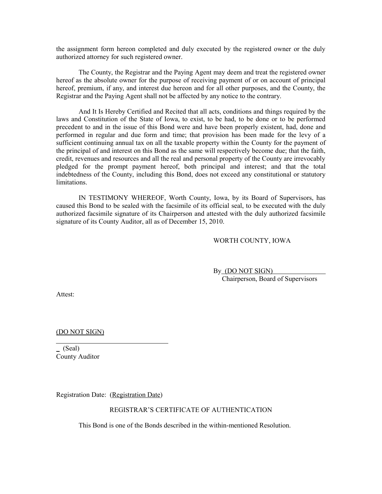the assignment form hereon completed and duly executed by the registered owner or the duly authorized attorney for such registered owner.

The County, the Registrar and the Paying Agent may deem and treat the registered owner hereof as the absolute owner for the purpose of receiving payment of or on account of principal hereof, premium, if any, and interest due hereon and for all other purposes, and the County, the Registrar and the Paying Agent shall not be affected by any notice to the contrary.

And It Is Hereby Certified and Recited that all acts, conditions and things required by the laws and Constitution of the State of Iowa, to exist, to be had, to be done or to be performed precedent to and in the issue of this Bond were and have been properly existent, had, done and performed in regular and due form and time; that provision has been made for the levy of a sufficient continuing annual tax on all the taxable property within the County for the payment of the principal of and interest on this Bond as the same will respectively become due; that the faith, credit, revenues and resources and all the real and personal property of the County are irrevocably pledged for the prompt payment hereof, both principal and interest; and that the total indebtedness of the County, including this Bond, does not exceed any constitutional or statutory limitations.

IN TESTIMONY WHEREOF, Worth County, Iowa, by its Board of Supervisors, has caused this Bond to be sealed with the facsimile of its official seal, to be executed with the duly authorized facsimile signature of its Chairperson and attested with the duly authorized facsimile signature of its County Auditor, all as of December 15, 2010.

### WORTH COUNTY, IOWA

By (DO NOT SIGN) Chairperson, Board of Supervisors

Attest:

 $\overline{a}$ 

(DO NOT SIGN)

 $(Seal)$ County Auditor

Registration Date: (Registration Date)

#### REGISTRAR'S CERTIFICATE OF AUTHENTICATION

This Bond is one of the Bonds described in the within-mentioned Resolution.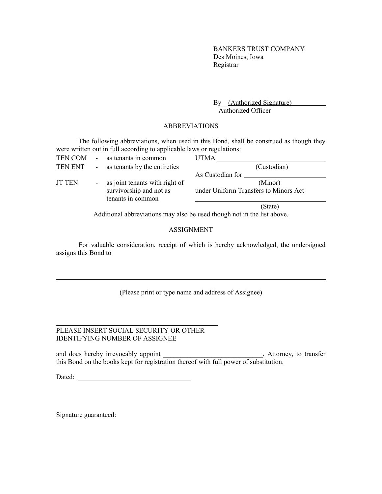BANKERS TRUST COMPANY Des Moines, Iowa Registrar

By (Authorized Signature) Authorized Officer

### ABBREVIATIONS

The following abbreviations, when used in this Bond, shall be construed as though they were written out in full according to applicable laws or regulations:

| TEN COM       | $\blacksquare$ | as tenants in common                         | <b>UTMA</b>                           |
|---------------|----------------|----------------------------------------------|---------------------------------------|
| TEN ENT       |                | - as tenants by the entireties               | (Custodian)                           |
|               |                |                                              | As Custodian for                      |
| <b>JT TEN</b> |                | - as joint tenants with right of             | (Minor)                               |
|               |                | survivorship and not as<br>tenants in common | under Uniform Transfers to Minors Act |
|               |                |                                              | (State)                               |

Additional abbreviations may also be used though not in the list above.

# ASSIGNMENT

For valuable consideration, receipt of which is hereby acknowledged, the undersigned assigns this Bond to

## (Please print or type name and address of Assignee)

# PLEASE INSERT SOCIAL SECURITY OR OTHER IDENTIFYING NUMBER OF ASSIGNEE

and does hereby irrevocably appoint the state of the state of the state of the state of the state of the state of the state of the state of the state of the state of the state of the state of the state of the state of the this Bond on the books kept for registration thereof with full power of substitution.

Dated:

Signature guaranteed:

 $\overline{a}$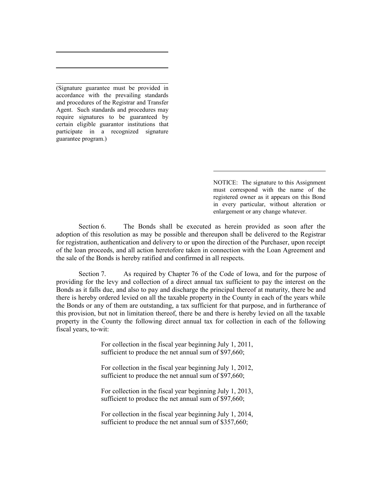(Signature guarantee must be provided in accordance with the prevailing standards and procedures of the Registrar and Transfer Agent. Such standards and procedures may require signatures to be guaranteed by certain eligible guarantor institutions that participate in a recognized signature guarantee program.)

 $\overline{a}$ 

l

 $\overline{a}$ 

NOTICE: The signature to this Assignment must correspond with the name of the registered owner as it appears on this Bond in every particular, without alteration or enlargement or any change whatever.

Section 6. The Bonds shall be executed as herein provided as soon after the adoption of this resolution as may be possible and thereupon shall be delivered to the Registrar for registration, authentication and delivery to or upon the direction of the Purchaser, upon receipt of the loan proceeds, and all action heretofore taken in connection with the Loan Agreement and the sale of the Bonds is hereby ratified and confirmed in all respects.

 $\overline{a}$ 

Section 7. As required by Chapter 76 of the Code of Iowa, and for the purpose of providing for the levy and collection of a direct annual tax sufficient to pay the interest on the Bonds as it falls due, and also to pay and discharge the principal thereof at maturity, there be and there is hereby ordered levied on all the taxable property in the County in each of the years while the Bonds or any of them are outstanding, a tax sufficient for that purpose, and in furtherance of this provision, but not in limitation thereof, there be and there is hereby levied on all the taxable property in the County the following direct annual tax for collection in each of the following fiscal years, to-wit:

> For collection in the fiscal year beginning July 1, 2011, sufficient to produce the net annual sum of \$97,660;

> For collection in the fiscal year beginning July 1, 2012, sufficient to produce the net annual sum of \$97,660;

> For collection in the fiscal year beginning July 1, 2013, sufficient to produce the net annual sum of \$97,660;

> For collection in the fiscal year beginning July 1, 2014, sufficient to produce the net annual sum of \$357,660;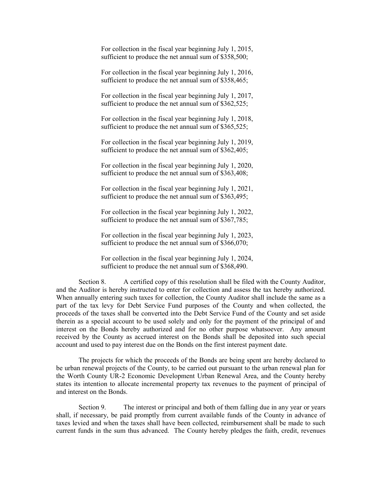For collection in the fiscal year beginning July 1, 2015, sufficient to produce the net annual sum of \$358,500;

For collection in the fiscal year beginning July 1, 2016, sufficient to produce the net annual sum of \$358,465;

For collection in the fiscal year beginning July 1, 2017, sufficient to produce the net annual sum of \$362,525;

For collection in the fiscal year beginning July 1, 2018, sufficient to produce the net annual sum of \$365,525;

For collection in the fiscal year beginning July 1, 2019, sufficient to produce the net annual sum of \$362,405;

For collection in the fiscal year beginning July 1, 2020, sufficient to produce the net annual sum of \$363,408;

For collection in the fiscal year beginning July 1, 2021, sufficient to produce the net annual sum of \$363,495;

For collection in the fiscal year beginning July 1, 2022, sufficient to produce the net annual sum of \$367,785;

For collection in the fiscal year beginning July 1, 2023, sufficient to produce the net annual sum of \$366,070;

For collection in the fiscal year beginning July 1, 2024, sufficient to produce the net annual sum of \$368,490.

Section 8. A certified copy of this resolution shall be filed with the County Auditor, and the Auditor is hereby instructed to enter for collection and assess the tax hereby authorized. When annually entering such taxes for collection, the County Auditor shall include the same as a part of the tax levy for Debt Service Fund purposes of the County and when collected, the proceeds of the taxes shall be converted into the Debt Service Fund of the County and set aside therein as a special account to be used solely and only for the payment of the principal of and interest on the Bonds hereby authorized and for no other purpose whatsoever. Any amount received by the County as accrued interest on the Bonds shall be deposited into such special account and used to pay interest due on the Bonds on the first interest payment date.

The projects for which the proceeds of the Bonds are being spent are hereby declared to be urban renewal projects of the County, to be carried out pursuant to the urban renewal plan for the Worth County UR-2 Economic Development Urban Renewal Area, and the County hereby states its intention to allocate incremental property tax revenues to the payment of principal of and interest on the Bonds.

Section 9. The interest or principal and both of them falling due in any year or years shall, if necessary, be paid promptly from current available funds of the County in advance of taxes levied and when the taxes shall have been collected, reimbursement shall be made to such current funds in the sum thus advanced. The County hereby pledges the faith, credit, revenues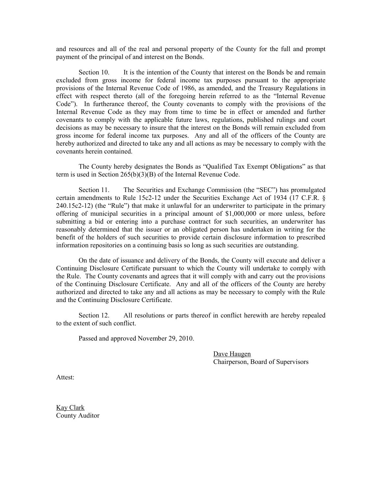and resources and all of the real and personal property of the County for the full and prompt payment of the principal of and interest on the Bonds.

Section 10. It is the intention of the County that interest on the Bonds be and remain excluded from gross income for federal income tax purposes pursuant to the appropriate provisions of the Internal Revenue Code of 1986, as amended, and the Treasury Regulations in effect with respect thereto (all of the foregoing herein referred to as the "Internal Revenue Code"). In furtherance thereof, the County covenants to comply with the provisions of the Internal Revenue Code as they may from time to time be in effect or amended and further covenants to comply with the applicable future laws, regulations, published rulings and court decisions as may be necessary to insure that the interest on the Bonds will remain excluded from gross income for federal income tax purposes. Any and all of the officers of the County are hereby authorized and directed to take any and all actions as may be necessary to comply with the covenants herein contained.

The County hereby designates the Bonds as "Qualified Tax Exempt Obligations" as that term is used in Section 265(b)(3)(B) of the Internal Revenue Code.

Section 11. The Securities and Exchange Commission (the "SEC") has promulgated certain amendments to Rule 15c2-12 under the Securities Exchange Act of 1934 (17 C.F.R. § 240.15c2-12) (the "Rule") that make it unlawful for an underwriter to participate in the primary offering of municipal securities in a principal amount of \$1,000,000 or more unless, before submitting a bid or entering into a purchase contract for such securities, an underwriter has reasonably determined that the issuer or an obligated person has undertaken in writing for the benefit of the holders of such securities to provide certain disclosure information to prescribed information repositories on a continuing basis so long as such securities are outstanding.

On the date of issuance and delivery of the Bonds, the County will execute and deliver a Continuing Disclosure Certificate pursuant to which the County will undertake to comply with the Rule. The County covenants and agrees that it will comply with and carry out the provisions of the Continuing Disclosure Certificate. Any and all of the officers of the County are hereby authorized and directed to take any and all actions as may be necessary to comply with the Rule and the Continuing Disclosure Certificate.

Section 12. All resolutions or parts thereof in conflict herewith are hereby repealed to the extent of such conflict.

Passed and approved November 29, 2010.

Dave Haugen Chairperson, Board of Supervisors

Attest:

Kay Clark County Auditor